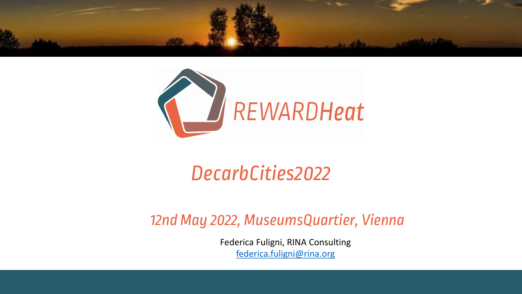



## DecarbCities2022

12nd May 2022, MuseumsQuar

Federica Fuligni, RINA Consu federica.fuligni@rina.org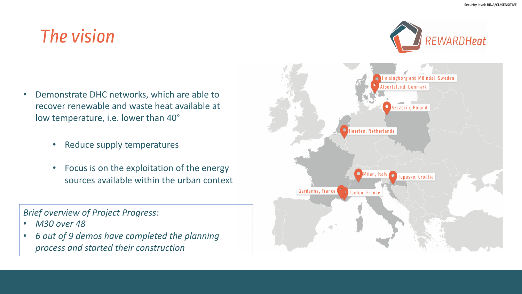## The vision

- Demonstrate DHC networks, which are able to recover renewable and waste heat available at low temperature, i.e. lower than 40°
	- Reduce supply temperatures
	- Focus is on the exploitation of the energy sources available within the urban context

*Brief overview of Project Progress:*

- *M30 over 48*
- *6 out of 9 demos have completed the planning process and started their construction*

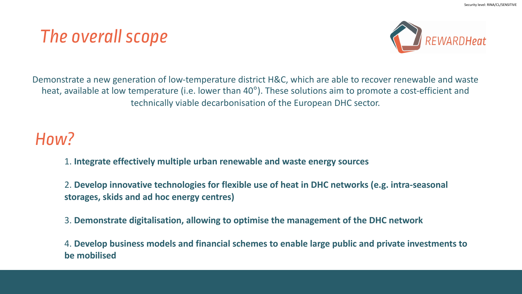### The overall scope



Demonstrate a new generation of low-temperature district H&C, which are able to recover renewable and waste heat, available at low temperature (i.e. lower than 40°). These solutions aim to promote a cost-efficient and technically viable decarbonisation of the European DHC sector.

### How?

- 1. **Integrate effectively multiple urban renewable and waste energy sources**
- 2. **Develop innovative technologies for flexible use of heat in DHC networks (e.g. intra-seasonal storages, skids and ad hoc energy centres)**
- 3. **Demonstrate digitalisation, allowing to optimise the management of the DHC network**

4. **Develop business models and financial schemes to enable large public and private investments to be mobilised**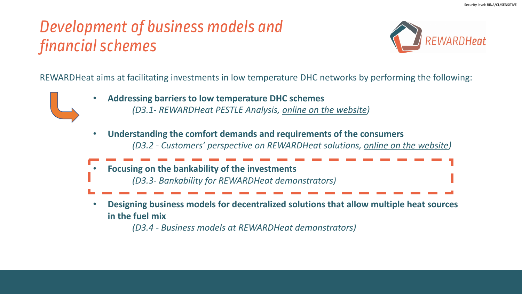### Development of business models and financial schemes



REWARDHeat aims at facilitating investments in low temperature DHC networks by performing the following:



- **Addressing barriers to low temperature DHC schemes**  *(D3.1- REWARDHeat PESTLE Analysis, online on the website)*
- **Understanding the comfort demands and requirements of the consumers**  *(D3.2 - Customers' perspective on REWARDHeat solutions, online on the website)*



• **Designing business models for decentralized solutions that allow multiple heat sources in the fuel mix** 

*(D3.4 - Business models at REWARDHeat demonstrators)*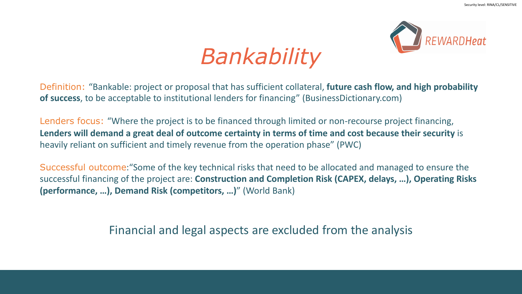

# *Bankability*

Definition: "Bankable: project or proposal that has sufficient collateral, **future cash flow, and high probability of success**, to be acceptable to institutional lenders for financing" (BusinessDictionary.com)

Lenders focus: "Where the project is to be financed through limited or non-recourse project financing, **Lenders will demand a great deal of outcome certainty in terms of time and cost because their security** is heavily reliant on sufficient and timely revenue from the operation phase" (PWC)

Successful outcome:"Some of the key technical risks that need to be allocated and managed to ensure the successful financing of the project are: **Construction and Completion Risk (CAPEX, delays, …), Operating Risks (performance, …), Demand Risk (competitors, …)**" (World Bank)

Financial and legal aspects are excluded from the analysis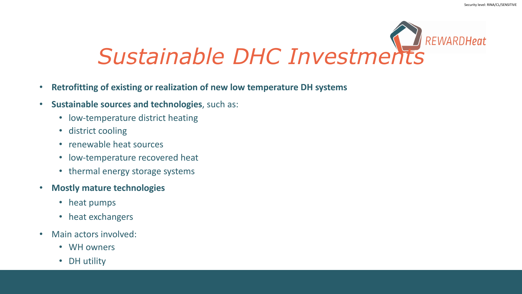# **REWARDHeat** *Sustainable DHC Investments*

- **Retrofitting of existing or realization of new low temperature DH systems**
- **Sustainable sources and technologies**, such as:
	- low-temperature district heating
	- district cooling
	- renewable heat sources
	- low-temperature recovered heat
	- thermal energy storage systems
- **Mostly mature technologies**
	- heat pumps
	- heat exchangers

 $\mathbf{e}^{(1)}$  authorities  $\mathbf{e}^{(1)}$ 

- Main actors involved:
	- WH owners
	- DH utility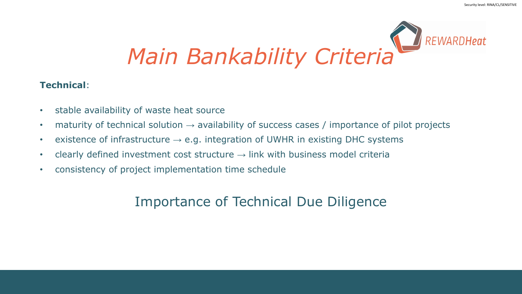

### **Technical**:

- stable availability of waste heat source
- maturity of technical solution **→** availability of success cases / importance of pilot projects
- existence of infrastructure **→** e.g. integration of UWHR in existing DHC systems
- clearly defined investment cost structure **→** link with business model criteria
- consistency of project implementation time schedule

### Importance of Technical Due Diligence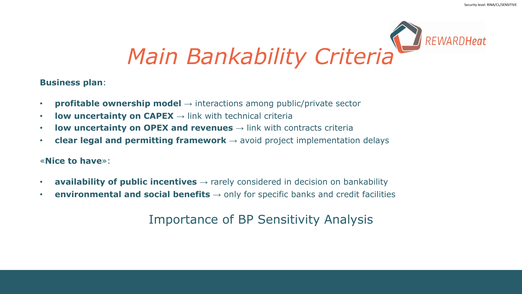

### **Business plan**:

- **profitable ownership model** → interactions among public/private sector
- **low uncertainty on CAPEX**  $\rightarrow$  link with technical criteria
- **low uncertainty on OPEX and revenues** → link with contracts criteria
- **clear legal and permitting framework** → avoid project implementation delays

### «**Nice to have**»:

- **availability of public incentives** → rarely considered in decision on bankability
- **environmental and social benefits** → only for specific banks and credit facilities

### Importance of BP Sensitivity Analysis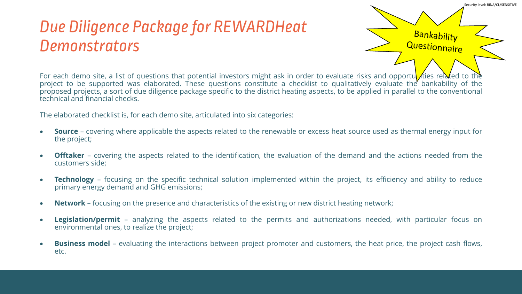#### Security level: RINA/CL/SENSITIVE

### Due Diligence Package for REWARDHeat **Demonstrators**

**Bankability** Questionnaire

For each demo site, a list of questions that potential investors might ask in order to evaluate risks and opportum ties related to the project to be supported was elaborated. These questions constitute a checklist to qualitatively evaluate the bankability of the proposed projects, a sort of due diligence package specific to the district heating aspects, to be applied in parallel to the conventional technical and financial checks.

The elaborated checklist is, for each demo site, articulated into six categories:

- **Source** covering where applicable the aspects related to the renewable or excess heat source used as thermal energy input for the project;
- **Offtaker** covering the aspects related to the identification, the evaluation of the demand and the actions needed from the customers side;
- **Technology** focusing on the specific technical solution implemented within the project, its efficiency and ability to reduce primary energy demand and GHG emissions;
- **Network** focusing on the presence and characteristics of the existing or new district heating network;
- **Legislation/permit** analyzing the aspects related to the permits and authorizations needed, with particular focus on environmental ones, to realize the project;
- **Business model** evaluating the interactions between project promoter and customers, the heat price, the project cash flows, etc.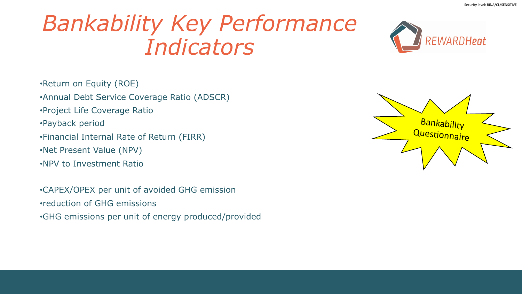# *Bankability Key Performance Indicators*



•Return on Equity (ROE)

- •Annual Debt Service Coverage Ratio (ADSCR)
- •Project Life Coverage Ratio
- •Payback period
- •Financial Internal Rate of Return (FIRR)
- •Net Present Value (NPV)
- •NPV to Investment Ratio

•CAPEX/OPEX per unit of avoided GHG emission •reduction of GHG emissions •GHG emissions per unit of energy produced/provided

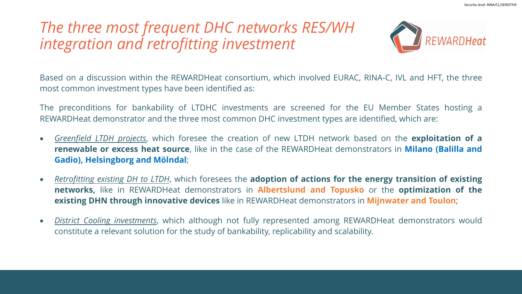### *The three most frequent DHC networks RES/WH integration and retrofitting investment*



Based on a discussion within the REWARDHeat consortium, which involved EURAC, RINA-C, IVL and HFT, the three most common investment types have been identified as:

The preconditions for bankability of LTDHC investments are screened for the EU Member States hosting a REWARDHeat demonstrator and the three most common DHC investment types are identified, which are:

- *Greenfield LTDH projects*, which foresee the creation of new LTDH network based on the **exploitation of a renewable or excess heat source**, like in the case of the REWARDHeat demonstrators in **Milano (Balilla and Gadio), Helsingborg and Mölndal**;
- *Retrofitting existing DH to LTDH*, which foresees the **adoption of actions for the energy transition of existing networks,** like in REWARDHeat demonstrators in **Albertslund and Topusko** or the **optimization of the existing DHN through innovative devices** like in REWARDHeat demonstrators in **Mijnwater and Toulon**;
- *District Cooling investments*, which although not fully represented among REWARDHeat demonstrators would constitute a relevant solution for the study of bankability, replicability and scalability.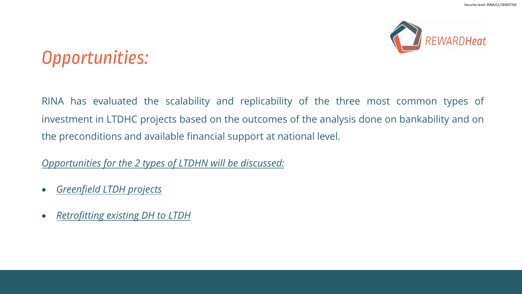

## Opportunities:

RINA has evaluated the scalability and replicability of the three most common types of investment in LTDHC projects based on the outcomes of the analysis done on bankability and on the preconditions and available financial support at national level.

*Opportunities for the 2 types of LTDHN will be discussed:*

- *Greenfield LTDH projects*
- *Retrofitting existing DH to LTDH*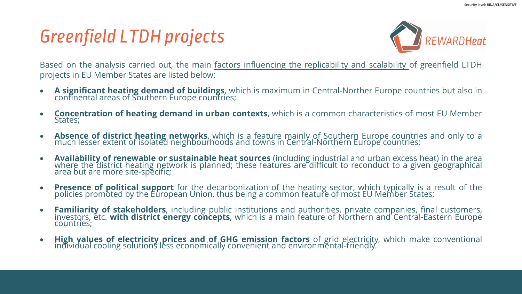## Greenfield LTDH projects



Based on the analysis carried out, the main factors influencing the replicability and scalability of greenfield LTDH projects in EU Member States are listed below:

- **A significant heating demand of buildings**, which is maximum in Central-Norther Europe countries but also in continental areas of Southern Europe countries;
- **Concentration of heating demand in urban contexts**, which is a common characteristics of most EU Member States;
- **Absence of district heating networks**, which is a feature mainly of Southern Europe countries and only to a much lesser extent of isolated neighbourhoods and towns in Central-Northern Europe countries;
- **Availability of renewable or sustainable heat sources** (including industrial and urban excess heat) in the area where the district heating network is planned; these features are difficult to reconduct to a given geographical area but are more site-specific;
- **Presence of political support** for the decarbonization of the heating sector, which typically is a result of the policies promoted by the European Union, thus being a common feature of most EU Member States;
- **Familiarity of stakeholders**, including public institutions and authorities, private companies, final customers, investors, étc. **with district énergy concepts**, which is a main feature of Northern and Central-Eastern Europé<br>countries;
- **High values of electricity prices and of GHG emission factors** of grid electricity, which make conventional individual cooling solutions less economically convenient and environmental-friendly.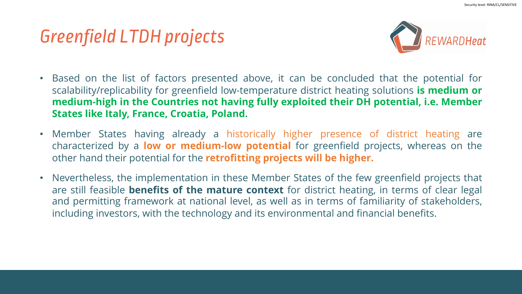## Greenfield LTDH projects



- Based on the list of factors presented above, it can be concluded that the potential for scalability/replicability for greenfield low-temperature district heating solutions **is medium or medium-high in the Countries not having fully exploited their DH potential, i.e. Member States like Italy, France, Croatia, Poland.**
- Member States having already a historically higher presence of district heating are characterized by a **low or medium-low potential** for greenfield projects, whereas on the other hand their potential for the **retrofitting projects will be higher.**
- Nevertheless, the implementation in these Member States of the few greenfield projects that are still feasible **benefits of the mature context** for district heating, in terms of clear legal and permitting framework at national level, as well as in terms of familiarity of stakeholders, including investors, with the technology and its environmental and financial benefits.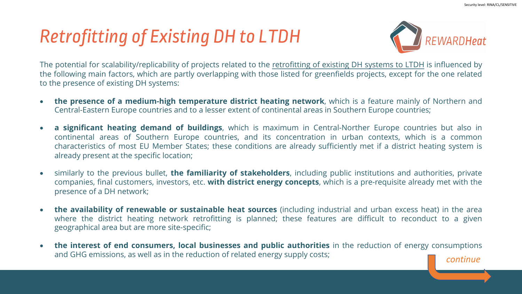## Retrofitting of Existing DH to LTDH



The potential for scalability/replicability of projects related to the retrofitting of existing DH systems to LTDH is influenced by the following main factors, which are partly overlapping with those listed for greenfields projects, except for the one related to the presence of existing DH systems:

- **the presence of a medium-high temperature district heating network**, which is a feature mainly of Northern and Central-Eastern Europe countries and to a lesser extent of continental areas in Southern Europe countries;
- **a significant heating demand of buildings**, which is maximum in Central-Norther Europe countries but also in continental areas of Southern Europe countries, and its concentration in urban contexts, which is a common characteristics of most EU Member States; these conditions are already sufficiently met if a district heating system is already present at the specific location;
- similarly to the previous bullet, **the familiarity of stakeholders**, including public institutions and authorities, private companies, final customers, investors, etc. **with district energy concepts**, which is a pre-requisite already met with the presence of a DH network;
- **the availability of renewable or sustainable heat sources** (including industrial and urban excess heat) in the area where the district heating network retrofitting is planned; these features are difficult to reconduct to a given geographical area but are more site-specific;
- **the interest of end consumers, local businesses and public authorities** in the reduction of energy consumptions and GHG emissions, as well as in the reduction of related energy supply costs;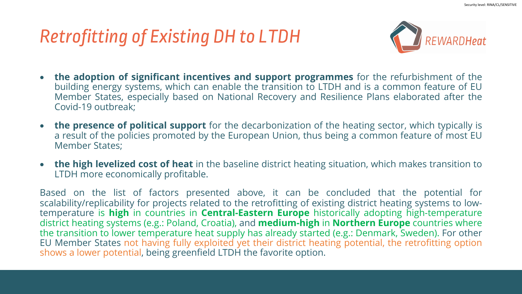## Retrofitting of Existing DH to LTDH



- **the adoption of significant incentives and support programmes** for the refurbishment of the building energy systems, which can enable the transition to LTDH and is a common feature of EU Member States, especially based on National Recovery and Resilience Plans elaborated after the Covid-19 outbreak;
- **the presence of political support** for the decarbonization of the heating sector, which typically is a result of the policies promoted by the European Union, thus being a common feature of most EU Member States;
- **the high levelized cost of heat** in the baseline district heating situation, which makes transition to LTDH more economically profitable.

Based on the list of factors presented above, it can be concluded that the potential for scalability/replicability for projects related to the retrofitting of existing district heating systems to lowtemperature is **high** in countries in **Central-Eastern Europe** historically adopting high-temperature district heating systems (e.g.: Poland, Croatia), and **medium-high** in **Northern Europe** countries where the transition to lower temperature heat supply has already started (e.g.: Denmark, Sweden). For other EU Member States not having fully exploited yet their district heating potential, the retrofitting option shows a lower potential, being greenfield LTDH the favorite option.